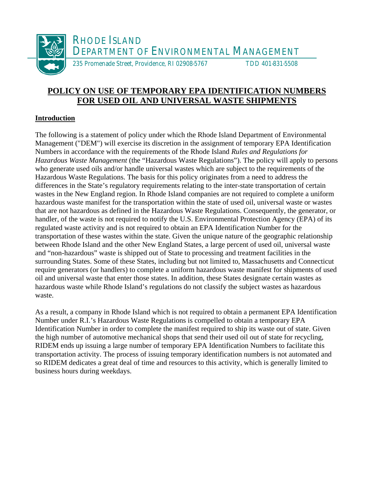

# **POLICY ON USE OF TEMPORARY EPA IDENTIFICATION NUMBERS FOR USED OIL AND UNIVERSAL WASTE SHIPMENTS**

## **Introduction**

The following is a statement of policy under which the Rhode Island Department of Environmental Management ("DEM") will exercise its discretion in the assignment of temporary EPA Identification Numbers in accordance with the requirements of the Rhode Island *Rules and Regulations for Hazardous Waste Management* (the "Hazardous Waste Regulations"). The policy will apply to persons who generate used oils and/or handle universal wastes which are subject to the requirements of the Hazardous Waste Regulations. The basis for this policy originates from a need to address the differences in the State's regulatory requirements relating to the inter-state transportation of certain wastes in the New England region. In Rhode Island companies are not required to complete a uniform hazardous waste manifest for the transportation within the state of used oil, universal waste or wastes that are not hazardous as defined in the Hazardous Waste Regulations. Consequently, the generator, or handler, of the waste is not required to notify the U.S. Environmental Protection Agency (EPA) of its regulated waste activity and is not required to obtain an EPA Identification Number for the transportation of these wastes within the state. Given the unique nature of the geographic relationship between Rhode Island and the other New England States, a large percent of used oil, universal waste and "non-hazardous" waste is shipped out of State to processing and treatment facilities in the surrounding States. Some of these States, including but not limited to, Massachusetts and Connecticut require generators (or handlers) to complete a uniform hazardous waste manifest for shipments of used oil and universal waste that enter those states. In addition, these States designate certain wastes as hazardous waste while Rhode Island's regulations do not classify the subject wastes as hazardous waste.

As a result, a company in Rhode Island which is not required to obtain a permanent EPA Identification Number under R.I.'s Hazardous Waste Regulations is compelled to obtain a temporary EPA Identification Number in order to complete the manifest required to ship its waste out of state. Given the high number of automotive mechanical shops that send their used oil out of state for recycling, RIDEM ends up issuing a large number of temporary EPA Identification Numbers to facilitate this transportation activity. The process of issuing temporary identification numbers is not automated and so RIDEM dedicates a great deal of time and resources to this activity, which is generally limited to business hours during weekdays.